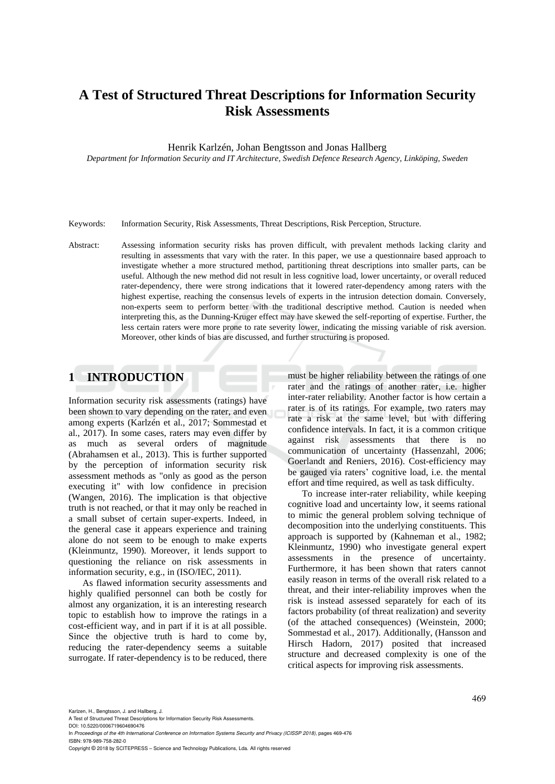# **A Test of Structured Threat Descriptions for Information Security Risk Assessments**

Henrik Karlzén, Johan Bengtsson and Jonas Hallberg

*Department for Information Security and IT Architecture, Swedish Defence Research Agency, Linköping, Sweden*

Keywords: Information Security, Risk Assessments, Threat Descriptions, Risk Perception, Structure.

Abstract: Assessing information security risks has proven difficult, with prevalent methods lacking clarity and resulting in assessments that vary with the rater. In this paper, we use a questionnaire based approach to investigate whether a more structured method, partitioning threat descriptions into smaller parts, can be useful. Although the new method did not result in less cognitive load, lower uncertainty, or overall reduced rater-dependency, there were strong indications that it lowered rater-dependency among raters with the highest expertise, reaching the consensus levels of experts in the intrusion detection domain. Conversely, non-experts seem to perform better with the traditional descriptive method. Caution is needed when interpreting this, as the Dunning-Kruger effect may have skewed the self-reporting of expertise. Further, the less certain raters were more prone to rate severity lower, indicating the missing variable of risk aversion. Moreover, other kinds of bias are discussed, and further structuring is proposed.

# **1 INTRODUCTION**

Information security risk assessments (ratings) have been shown to vary depending on the rater, and even among experts (Karlzén et al., 2017; Sommestad et al., 2017). In some cases, raters may even differ by as much as several orders of magnitude (Abrahamsen et al., 2013). This is further supported by the perception of information security risk assessment methods as "only as good as the person executing it" with low confidence in precision (Wangen, 2016). The implication is that objective truth is not reached, or that it may only be reached in a small subset of certain super-experts. Indeed, in the general case it appears experience and training alone do not seem to be enough to make experts (Kleinmuntz, 1990). Moreover, it lends support to questioning the reliance on risk assessments in information security, e.g., in (ISO/IEC, 2011).

As flawed information security assessments and highly qualified personnel can both be costly for almost any organization, it is an interesting research topic to establish how to improve the ratings in a cost-efficient way, and in part if it is at all possible. Since the objective truth is hard to come by, reducing the rater-dependency seems a suitable surrogate. If rater-dependency is to be reduced, there must be higher reliability between the ratings of one rater and the ratings of another rater, i.e. higher inter-rater reliability. Another factor is how certain a rater is of its ratings. For example, two raters may rate a risk at the same level, but with differing confidence intervals. In fact, it is a common critique against risk assessments that there is no communication of uncertainty (Hassenzahl, 2006; Goerlandt and Reniers, 2016). Cost-efficiency may be gauged via raters' cognitive load, i.e. the mental effort and time required, as well as task difficulty.

To increase inter-rater reliability, while keeping cognitive load and uncertainty low, it seems rational to mimic the general problem solving technique of decomposition into the underlying constituents. This approach is supported by (Kahneman et al., 1982; Kleinmuntz, 1990) who investigate general expert assessments in the presence of uncertainty. Furthermore, it has been shown that raters cannot easily reason in terms of the overall risk related to a threat, and their inter-reliability improves when the risk is instead assessed separately for each of its factors probability (of threat realization) and severity (of the attached consequences) (Weinstein, 2000; Sommestad et al., 2017). Additionally, (Hansson and Hirsch Hadorn, 2017) posited that increased structure and decreased complexity is one of the critical aspects for improving risk assessments.

Karlzen, H., Bengtsson, J. and Hallberg, J.

DOI: 10.5220/0006719604690476

In *Proceedings of the 4th International Conference on Information Systems Security and Privacy (ICISSP 2018)*, pages 469-476 ISBN: 978-989-758-282-0

Copyright © 2018 by SCITEPRESS – Science and Technology Publications, Lda. All rights reserved

A Test of Structured Threat Descriptions for Information Security Risk Assessments.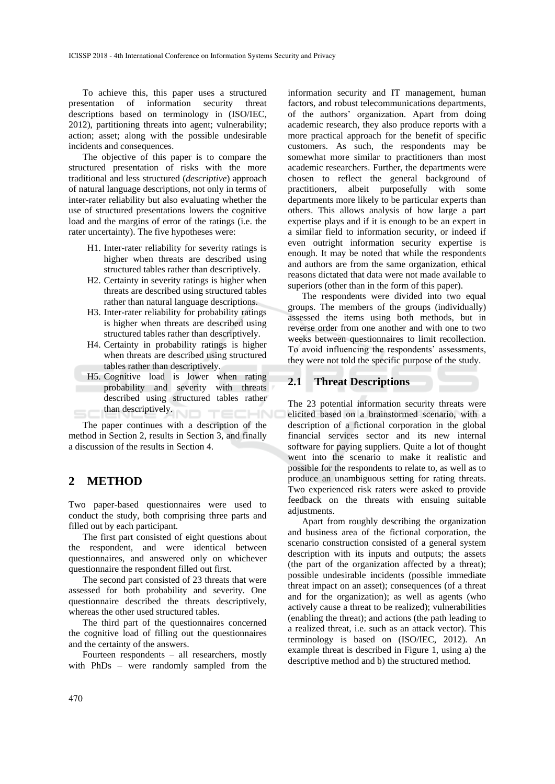To achieve this, this paper uses a structured presentation of information security threat descriptions based on terminology in (ISO/IEC, 2012), partitioning threats into agent; vulnerability; action; asset; along with the possible undesirable incidents and consequences.

The objective of this paper is to compare the structured presentation of risks with the more traditional and less structured (*descriptive*) approach of natural language descriptions, not only in terms of inter-rater reliability but also evaluating whether the use of structured presentations lowers the cognitive load and the margins of error of the ratings (i.e. the rater uncertainty). The five hypotheses were:

- H1. Inter-rater reliability for severity ratings is higher when threats are described using structured tables rather than descriptively.
- H2. Certainty in severity ratings is higher when threats are described using structured tables rather than natural language descriptions.
- H3. Inter-rater reliability for probability ratings is higher when threats are described using structured tables rather than descriptively.
- H4. Certainty in probability ratings is higher when threats are described using structured tables rather than descriptively.
- H5. Cognitive load is lower when rating probability and severity with threats described using structured tables rather than descriptively. TECHNO

The paper continues with a description of the method in Section 2, results in Section 3, and finally a discussion of the results in Section 4.

## **2 METHOD**

Two paper-based questionnaires were used to conduct the study, both comprising three parts and filled out by each participant.

The first part consisted of eight questions about the respondent, and were identical between questionnaires, and answered only on whichever questionnaire the respondent filled out first.

The second part consisted of 23 threats that were assessed for both probability and severity. One questionnaire described the threats descriptively, whereas the other used structured tables.

The third part of the questionnaires concerned the cognitive load of filling out the questionnaires and the certainty of the answers.

Fourteen respondents – all researchers, mostly with PhDs – were randomly sampled from the

information security and IT management, human factors, and robust telecommunications departments, of the authors' organization. Apart from doing academic research, they also produce reports with a more practical approach for the benefit of specific customers. As such, the respondents may be somewhat more similar to practitioners than most academic researchers. Further, the departments were chosen to reflect the general background of practitioners, albeit purposefully with some departments more likely to be particular experts than others. This allows analysis of how large a part expertise plays and if it is enough to be an expert in a similar field to information security, or indeed if even outright information security expertise is enough. It may be noted that while the respondents and authors are from the same organization, ethical reasons dictated that data were not made available to superiors (other than in the form of this paper).

The respondents were divided into two equal groups. The members of the groups (individually) assessed the items using both methods, but in reverse order from one another and with one to two weeks between questionnaires to limit recollection. To avoid influencing the respondents' assessments, they were not told the specific purpose of the study.

# **2.1 Threat Descriptions**

The 23 potential information security threats were elicited based on a brainstormed scenario, with a description of a fictional corporation in the global financial services sector and its new internal software for paying suppliers. Quite a lot of thought went into the scenario to make it realistic and possible for the respondents to relate to, as well as to produce an unambiguous setting for rating threats. Two experienced risk raters were asked to provide feedback on the threats with ensuing suitable adjustments.

Apart from roughly describing the organization and business area of the fictional corporation, the scenario construction consisted of a general system description with its inputs and outputs; the assets (the part of the organization affected by a threat); possible undesirable incidents (possible immediate threat impact on an asset); consequences (of a threat and for the organization); as well as agents (who actively cause a threat to be realized); vulnerabilities (enabling the threat); and actions (the path leading to a realized threat, i.e. such as an attack vector). This terminology is based on (ISO/IEC, 2012). An example threat is described in Figure 1, using a) the descriptive method and b) the structured method.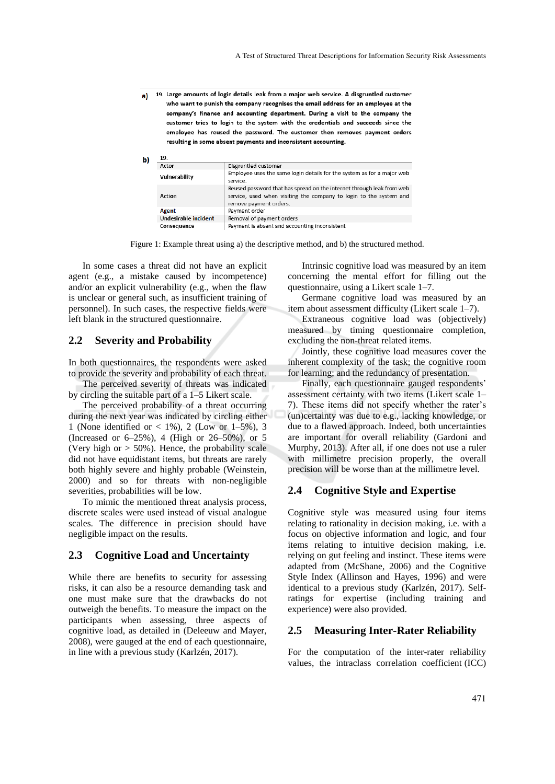a) 19. Large amounts of login details leak from a major web service. A disgruntled customer who want to punish the company recognises the email address for an employee at the company's finance and accounting department. During a visit to the company the customer tries to login to the system with the credentials and succeeds since the employee has reused the password. The customer then removes payment orders resulting in some absent payments and inconsistent accounting.

| ___ |
|-----|
|     |

| Actor                       | Disgruntled customer                                                                                                                                                  |
|-----------------------------|-----------------------------------------------------------------------------------------------------------------------------------------------------------------------|
| Vulnerability               | Employee uses the same login details for the system as for a major web<br>service.                                                                                    |
| Action                      | Reused password that has spread on the internet through leak from web<br>service, used when visiting the company to login to the system and<br>remove payment orders. |
| Agent                       | Payment order                                                                                                                                                         |
| <b>Undesirable incident</b> | Removal of payment orders                                                                                                                                             |
| Consequence                 | Payment is absent and accounting inconsistent                                                                                                                         |

Figure 1: Example threat using a) the descriptive method, and b) the structured method.

In some cases a threat did not have an explicit agent (e.g., a mistake caused by incompetence) and/or an explicit vulnerability (e.g., when the flaw is unclear or general such, as insufficient training of personnel). In such cases, the respective fields were left blank in the structured questionnaire.

### **2.2 Severity and Probability**

In both questionnaires, the respondents were asked to provide the severity and probability of each threat.

The perceived severity of threats was indicated by circling the suitable part of a 1–5 Likert scale.

The perceived probability of a threat occurring during the next year was indicated by circling either 1 (None identified or < 1%), 2 (Low or 1–5%), 3 (Increased or 6–25%), 4 (High or 26–50%), or 5 (Very high or  $> 50\%$ ). Hence, the probability scale did not have equidistant items, but threats are rarely both highly severe and highly probable (Weinstein, 2000) and so for threats with non-negligible severities, probabilities will be low.

To mimic the mentioned threat analysis process, discrete scales were used instead of visual analogue scales. The difference in precision should have negligible impact on the results.

### **2.3 Cognitive Load and Uncertainty**

While there are benefits to security for assessing risks, it can also be a resource demanding task and one must make sure that the drawbacks do not outweigh the benefits. To measure the impact on the participants when assessing, three aspects of cognitive load, as detailed in (Deleeuw and Mayer, 2008), were gauged at the end of each questionnaire, in line with a previous study (Karlzén, 2017).

Intrinsic cognitive load was measured by an item concerning the mental effort for filling out the questionnaire, using a Likert scale 1–7.

Germane cognitive load was measured by an item about assessment difficulty (Likert scale 1–7).

Extraneous cognitive load was (objectively) measured by timing questionnaire completion, excluding the non-threat related items.

Jointly, these cognitive load measures cover the inherent complexity of the task; the cognitive room for learning; and the redundancy of presentation.

Finally, each questionnaire gauged respondents' assessment certainty with two items (Likert scale 1– 7). These items did not specify whether the rater's (un)certainty was due to e.g., lacking knowledge, or due to a flawed approach. Indeed, both uncertainties are important for overall reliability (Gardoni and Murphy, 2013). After all, if one does not use a ruler with millimetre precision properly, the overall precision will be worse than at the millimetre level.

### **2.4 Cognitive Style and Expertise**

Cognitive style was measured using four items relating to rationality in decision making, i.e. with a focus on objective information and logic, and four items relating to intuitive decision making, i.e. relying on gut feeling and instinct. These items were adapted from (McShane, 2006) and the Cognitive Style Index (Allinson and Hayes, 1996) and were identical to a previous study (Karlzén, 2017). Selfratings for expertise (including training and experience) were also provided.

### **2.5 Measuring Inter-Rater Reliability**

For the computation of the inter-rater reliability values, the intraclass correlation coefficient (ICC)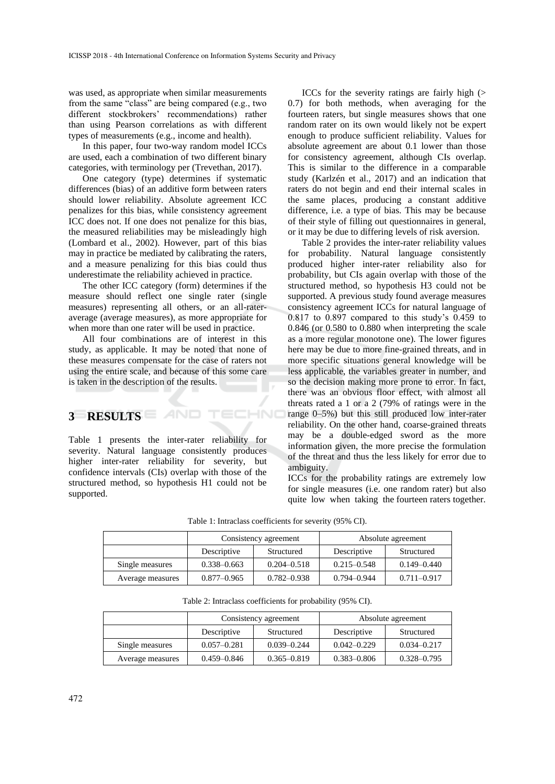was used, as appropriate when similar measurements from the same "class" are being compared (e.g., two different stockbrokers' recommendations) rather than using Pearson correlations as with different types of measurements (e.g., income and health).

In this paper, four two-way random model ICCs are used, each a combination of two different binary categories, with terminology per (Trevethan, 2017).

One category (type) determines if systematic differences (bias) of an additive form between raters should lower reliability. Absolute agreement ICC penalizes for this bias, while consistency agreement ICC does not. If one does not penalize for this bias, the measured reliabilities may be misleadingly high (Lombard et al., 2002). However, part of this bias may in practice be mediated by calibrating the raters, and a measure penalizing for this bias could thus underestimate the reliability achieved in practice.

The other ICC category (form) determines if the measure should reflect one single rater (single measures) representing all others, or an all-rateraverage (average measures), as more appropriate for when more than one rater will be used in practice.

All four combinations are of interest in this study, as applicable. It may be noted that none of these measures compensate for the case of raters not using the entire scale, and because of this some care is taken in the description of the results.

# **3 RESULTS**

Table 1 presents the inter-rater reliability for severity. Natural language consistently produces higher inter-rater reliability for severity, but confidence intervals (CIs) overlap with those of the structured method, so hypothesis H1 could not be supported.

ICCs for the severity ratings are fairly high (> 0.7) for both methods, when averaging for the fourteen raters, but single measures shows that one random rater on its own would likely not be expert enough to produce sufficient reliability. Values for absolute agreement are about 0.1 lower than those for consistency agreement, although CIs overlap. This is similar to the difference in a comparable study (Karlzén et al., 2017) and an indication that raters do not begin and end their internal scales in the same places, producing a constant additive difference, i.e. a type of bias. This may be because of their style of filling out questionnaires in general, or it may be due to differing levels of risk aversion.

Table 2 provides the inter-rater reliability values for probability. Natural language consistently produced higher inter-rater reliability also for probability, but CIs again overlap with those of the structured method, so hypothesis H3 could not be supported. A previous study found average measures consistency agreement ICCs for natural language of 0.817 to 0.897 compared to this study's 0.459 to 0.846 (or 0.580 to 0.880 when interpreting the scale as a more regular monotone one). The lower figures here may be due to more fine-grained threats, and in more specific situations general knowledge will be less applicable, the variables greater in number, and so the decision making more prone to error. In fact, there was an obvious floor effect, with almost all threats rated a 1 or a 2 (79% of ratings were in the range 0–5%) but this still produced low inter-rater reliability. On the other hand, coarse-grained threats may be a double-edged sword as the more information given, the more precise the formulation of the threat and thus the less likely for error due to ambiguity.

ICCs for the probability ratings are extremely low for single measures (i.e. one random rater) but also quite low when taking the fourteen raters together.

|  | Table 1: Intraclass coefficients for severity (95% CI). |  |  |
|--|---------------------------------------------------------|--|--|
|--|---------------------------------------------------------|--|--|

TECHNO

|                  | Consistency agreement |                 | Absolute agreement |                 |
|------------------|-----------------------|-----------------|--------------------|-----------------|
|                  | Descriptive           | Structured      | Descriptive        | Structured      |
| Single measures  | $0.338 - 0.663$       | $0.204 - 0.518$ | $0.215 - 0.548$    | $0.149 - 0.440$ |
| Average measures | $0.877 - 0.965$       | $0.782 - 0.938$ | $0.794 - 0.944$    | $0.711 - 0.917$ |

Table 2: Intraclass coefficients for probability (95% CI).

|                  | Consistency agreement |                 |                 | Absolute agreement |
|------------------|-----------------------|-----------------|-----------------|--------------------|
|                  | Descriptive           | Structured      | Descriptive     | Structured         |
| Single measures  | $0.057 - 0.281$       | $0.039 - 0.244$ | $0.042 - 0.229$ | $0.034 - 0.217$    |
| Average measures | $0.459 - 0.846$       | $0.365 - 0.819$ | $0.383 - 0.806$ | $0.328 - 0.795$    |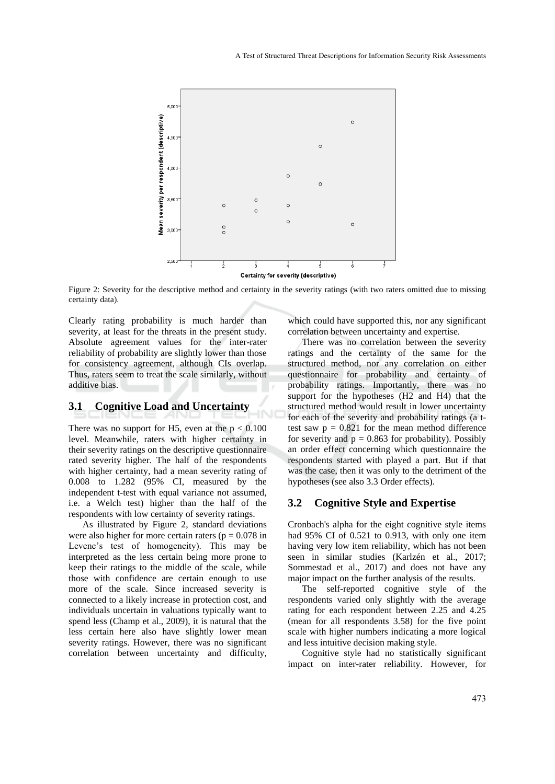

Figure 2: Severity for the descriptive method and certainty in the severity ratings (with two raters omitted due to missing certainty data).

Clearly rating probability is much harder than severity, at least for the threats in the present study. Absolute agreement values for the inter-rater reliability of probability are slightly lower than those for consistency agreement, although CIs overlap. Thus, raters seem to treat the scale similarly, without additive bias.

## **3.1 Cognitive Load and Uncertainty**

There was no support for H5, even at the  $p < 0.100$ level. Meanwhile, raters with higher certainty in their severity ratings on the descriptive questionnaire rated severity higher. The half of the respondents with higher certainty, had a mean severity rating of 0.008 to 1.282 (95% CI, measured by the independent t-test with equal variance not assumed, i.e. a Welch test) higher than the half of the respondents with low certainty of severity ratings.

As illustrated by Figure 2, standard deviations were also higher for more certain raters ( $p = 0.078$  in Levene's test of homogeneity). This may be interpreted as the less certain being more prone to keep their ratings to the middle of the scale, while those with confidence are certain enough to use more of the scale. Since increased severity is connected to a likely increase in protection cost, and individuals uncertain in valuations typically want to spend less (Champ et al., 2009), it is natural that the less certain here also have slightly lower mean severity ratings. However, there was no significant correlation between uncertainty and difficulty,

which could have supported this, nor any significant correlation between uncertainty and expertise.

There was no correlation between the severity ratings and the certainty of the same for the structured method, nor any correlation on either questionnaire for probability and certainty of probability ratings. Importantly, there was no support for the hypotheses (H2 and H4) that the structured method would result in lower uncertainty for each of the severity and probability ratings (a ttest saw  $p = 0.821$  for the mean method difference for severity and  $p = 0.863$  for probability). Possibly an order effect concerning which questionnaire the respondents started with played a part. But if that was the case, then it was only to the detriment of the hypotheses (see also 3.3 Order effects).

#### **3.2 Cognitive Style and Expertise**

Cronbach's alpha for the eight cognitive style items had 95% CI of 0.521 to 0.913, with only one item having very low item reliability, which has not been seen in similar studies (Karlzén et al., 2017; Sommestad et al., 2017) and does not have any major impact on the further analysis of the results.

The self-reported cognitive style of the respondents varied only slightly with the average rating for each respondent between 2.25 and 4.25 (mean for all respondents 3.58) for the five point scale with higher numbers indicating a more logical and less intuitive decision making style.

Cognitive style had no statistically significant impact on inter-rater reliability. However, for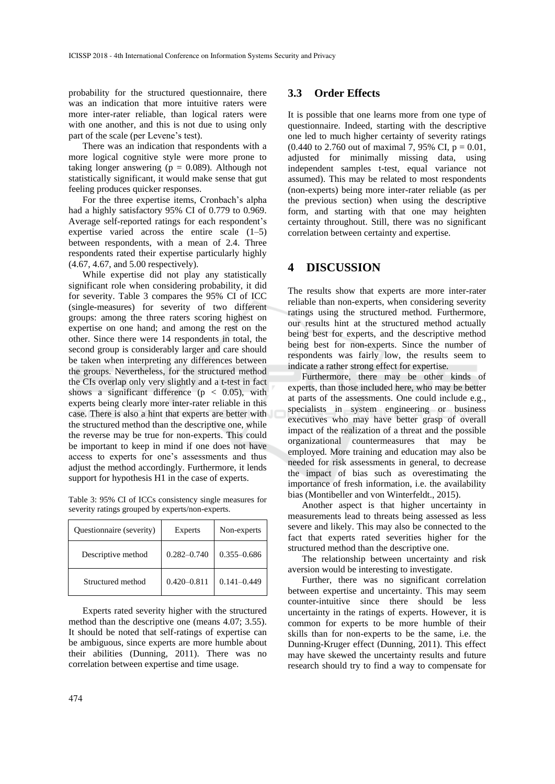probability for the structured questionnaire, there was an indication that more intuitive raters were more inter-rater reliable, than logical raters were with one another, and this is not due to using only part of the scale (per Levene's test).

There was an indication that respondents with a more logical cognitive style were more prone to taking longer answering ( $p = 0.089$ ). Although not statistically significant, it would make sense that gut feeling produces quicker responses.

For the three expertise items, Cronbach's alpha had a highly satisfactory 95% CI of 0.779 to 0.969. Average self-reported ratings for each respondent's expertise varied across the entire scale (1–5) between respondents, with a mean of 2.4. Three respondents rated their expertise particularly highly (4.67, 4.67, and 5.00 respectively).

While expertise did not play any statistically significant role when considering probability, it did for severity. Table 3 compares the 95% CI of ICC (single-measures) for severity of two different groups: among the three raters scoring highest on expertise on one hand; and among the rest on the other. Since there were 14 respondents in total, the second group is considerably larger and care should be taken when interpreting any differences between the groups. Nevertheless, for the structured method the CIs overlap only very slightly and a t-test in fact shows a significant difference ( $p < 0.05$ ), with experts being clearly more inter-rater reliable in this case. There is also a hint that experts are better with the structured method than the descriptive one, while the reverse may be true for non-experts. This could be important to keep in mind if one does not have access to experts for one's assessments and thus adjust the method accordingly. Furthermore, it lends support for hypothesis H1 in the case of experts.

Table 3: 95% CI of ICCs consistency single measures for severity ratings grouped by experts/non-experts.

| Questionnaire (severity) | Experts         | Non-experts     |
|--------------------------|-----------------|-----------------|
| Descriptive method       | $0.282 - 0.740$ | $0.355 - 0.686$ |
| Structured method        | $0.420 - 0.811$ | $0.141 - 0.449$ |

Experts rated severity higher with the structured method than the descriptive one (means 4.07; 3.55). It should be noted that self-ratings of expertise can be ambiguous, since experts are more humble about their abilities (Dunning, 2011). There was no correlation between expertise and time usage.

#### **3.3 Order Effects**

It is possible that one learns more from one type of questionnaire. Indeed, starting with the descriptive one led to much higher certainty of severity ratings  $(0.440 \text{ to } 2.760 \text{ out of maximal } 7,95\% \text{ CI, } p = 0.01,$ adjusted for minimally missing data, using independent samples t-test, equal variance not assumed). This may be related to most respondents (non-experts) being more inter-rater reliable (as per the previous section) when using the descriptive form, and starting with that one may heighten certainty throughout. Still, there was no significant correlation between certainty and expertise.

# **4 DISCUSSION**

The results show that experts are more inter-rater reliable than non-experts, when considering severity ratings using the structured method. Furthermore, our results hint at the structured method actually being best for experts, and the descriptive method being best for non-experts. Since the number of respondents was fairly low, the results seem to indicate a rather strong effect for expertise.

Furthermore, there may be other kinds of experts, than those included here, who may be better at parts of the assessments. One could include e.g., specialists in system engineering or business executives who may have better grasp of overall impact of the realization of a threat and the possible organizational countermeasures that may be employed. More training and education may also be needed for risk assessments in general, to decrease the impact of bias such as overestimating the importance of fresh information, i.e. the availability bias (Montibeller and von Winterfeldt., 2015).

Another aspect is that higher uncertainty in measurements lead to threats being assessed as less severe and likely. This may also be connected to the fact that experts rated severities higher for the structured method than the descriptive one.

The relationship between uncertainty and risk aversion would be interesting to investigate.

Further, there was no significant correlation between expertise and uncertainty. This may seem counter-intuitive since there should be less uncertainty in the ratings of experts. However, it is common for experts to be more humble of their skills than for non-experts to be the same, i.e. the Dunning-Kruger effect (Dunning, 2011). This effect may have skewed the uncertainty results and future research should try to find a way to compensate for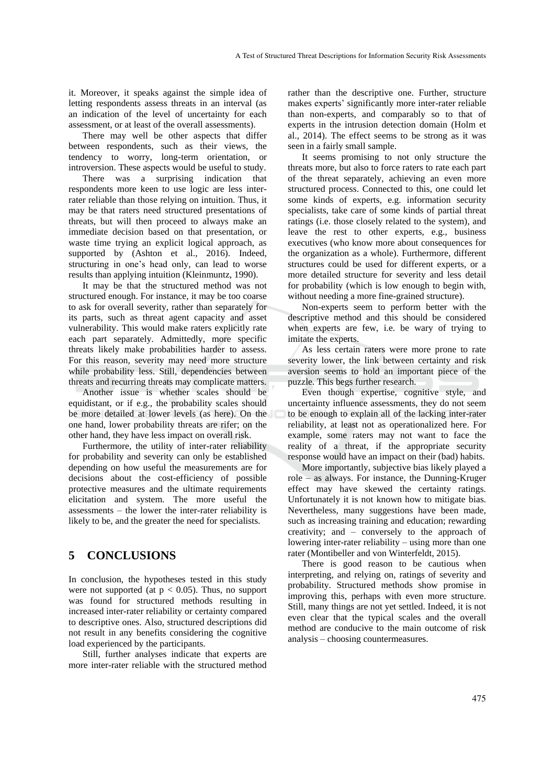it. Moreover, it speaks against the simple idea of letting respondents assess threats in an interval (as an indication of the level of uncertainty for each assessment, or at least of the overall assessments).

There may well be other aspects that differ between respondents, such as their views, the tendency to worry, long-term orientation, or introversion. These aspects would be useful to study.

There was a surprising indication that respondents more keen to use logic are less interrater reliable than those relying on intuition. Thus, it may be that raters need structured presentations of threats, but will then proceed to always make an immediate decision based on that presentation, or waste time trying an explicit logical approach, as supported by (Ashton et al., 2016). Indeed, structuring in one's head only, can lead to worse results than applying intuition (Kleinmuntz, 1990).

It may be that the structured method was not structured enough. For instance, it may be too coarse to ask for overall severity, rather than separately for its parts, such as threat agent capacity and asset vulnerability. This would make raters explicitly rate each part separately. Admittedly, more specific threats likely make probabilities harder to assess. For this reason, severity may need more structure while probability less. Still, dependencies between threats and recurring threats may complicate matters.

Another issue is whether scales should be equidistant, or if e.g., the probability scales should be more detailed at lower levels (as here). On the one hand, lower probability threats are rifer; on the other hand, they have less impact on overall risk.

Furthermore, the utility of inter-rater reliability for probability and severity can only be established depending on how useful the measurements are for decisions about the cost-efficiency of possible protective measures and the ultimate requirements elicitation and system. The more useful the assessments – the lower the inter-rater reliability is likely to be, and the greater the need for specialists.

# **5 CONCLUSIONS**

In conclusion, the hypotheses tested in this study were not supported (at  $p < 0.05$ ). Thus, no support was found for structured methods resulting in increased inter-rater reliability or certainty compared to descriptive ones. Also, structured descriptions did not result in any benefits considering the cognitive load experienced by the participants.

Still, further analyses indicate that experts are more inter-rater reliable with the structured method

rather than the descriptive one. Further, structure makes experts' significantly more inter-rater reliable than non-experts, and comparably so to that of experts in the intrusion detection domain (Holm et al., 2014). The effect seems to be strong as it was seen in a fairly small sample.

It seems promising to not only structure the threats more, but also to force raters to rate each part of the threat separately, achieving an even more structured process. Connected to this, one could let some kinds of experts, e.g. information security specialists, take care of some kinds of partial threat ratings (i.e. those closely related to the system), and leave the rest to other experts, e.g., business executives (who know more about consequences for the organization as a whole). Furthermore, different structures could be used for different experts, or a more detailed structure for severity and less detail for probability (which is low enough to begin with, without needing a more fine-grained structure).

Non-experts seem to perform better with the descriptive method and this should be considered when experts are few, i.e. be wary of trying to imitate the experts.

As less certain raters were more prone to rate severity lower, the link between certainty and risk aversion seems to hold an important piece of the puzzle. This begs further research.

Even though expertise, cognitive style, and uncertainty influence assessments, they do not seem to be enough to explain all of the lacking inter-rater reliability, at least not as operationalized here. For example, some raters may not want to face the reality of a threat, if the appropriate security response would have an impact on their (bad) habits.

More importantly, subjective bias likely played a role – as always. For instance, the Dunning-Kruger effect may have skewed the certainty ratings. Unfortunately it is not known how to mitigate bias. Nevertheless, many suggestions have been made, such as increasing training and education; rewarding creativity; and – conversely to the approach of lowering inter-rater reliability – using more than one rater (Montibeller and von Winterfeldt, 2015).

There is good reason to be cautious when interpreting, and relying on, ratings of severity and probability. Structured methods show promise in improving this, perhaps with even more structure. Still, many things are not yet settled. Indeed, it is not even clear that the typical scales and the overall method are conducive to the main outcome of risk analysis – choosing countermeasures.